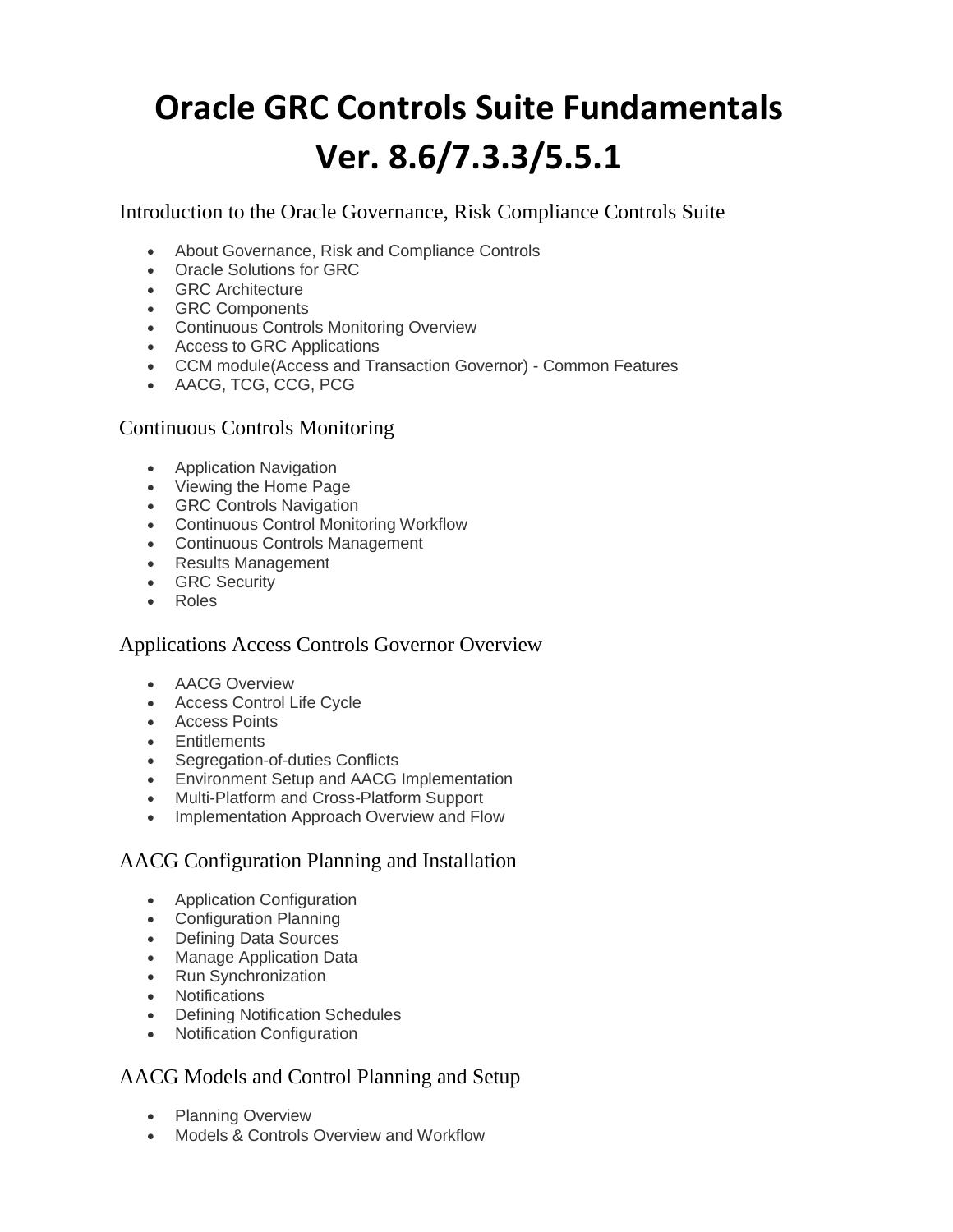# **Oracle GRC Controls Suite Fundamentals Ver. 8.6/7.3.3/5.5.1**

Introduction to the Oracle Governance, Risk Compliance Controls Suite

- About Governance, Risk and Compliance Controls
- Oracle Solutions for GRC
- GRC Architecture
- GRC Components
- Continuous Controls Monitoring Overview
- Access to GRC Applications
- CCM module(Access and Transaction Governor) Common Features
- AACG, TCG, CCG, PCG

#### Continuous Controls Monitoring

- Application Navigation
- Viewing the Home Page
- GRC Controls Navigation
- Continuous Control Monitoring Workflow
- Continuous Controls Management
- Results Management
- GRC Security
- Roles

## Applications Access Controls Governor Overview

- AACG Overview
- Access Control Life Cycle
- Access Points
- Entitlements
- Segregation-of-duties Conflicts
- Environment Setup and AACG Implementation
- Multi-Platform and Cross-Platform Support
- Implementation Approach Overview and Flow

## AACG Configuration Planning and Installation

- Application Configuration
- Configuration Planning
- Defining Data Sources
- Manage Application Data
- Run Synchronization
- Notifications
- Defining Notification Schedules
- Notification Configuration

## AACG Models and Control Planning and Setup

- Planning Overview
- Models & Controls Overview and Workflow